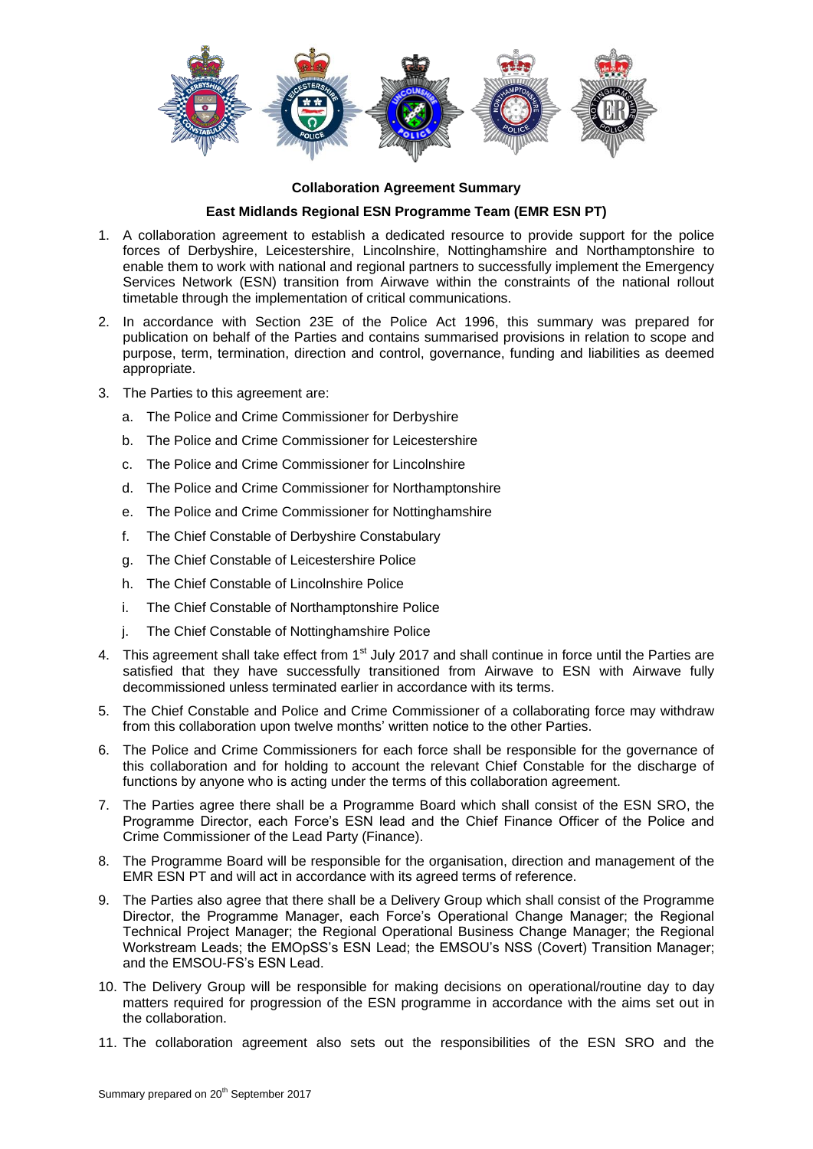

## **Collaboration Agreement Summary**

## **East Midlands Regional ESN Programme Team (EMR ESN PT)**

- 1. A collaboration agreement to establish a dedicated resource to provide support for the police forces of Derbyshire, Leicestershire, Lincolnshire, Nottinghamshire and Northamptonshire to enable them to work with national and regional partners to successfully implement the Emergency Services Network (ESN) transition from Airwave within the constraints of the national rollout timetable through the implementation of critical communications.
- 2. In accordance with Section 23E of the Police Act 1996, this summary was prepared for publication on behalf of the Parties and contains summarised provisions in relation to scope and purpose, term, termination, direction and control, governance, funding and liabilities as deemed appropriate.
- 3. The Parties to this agreement are:
	- a. The Police and Crime Commissioner for Derbyshire
	- b. The Police and Crime Commissioner for Leicestershire
	- c. The Police and Crime Commissioner for Lincolnshire
	- d. The Police and Crime Commissioner for Northamptonshire
	- e. The Police and Crime Commissioner for Nottinghamshire
	- f. The Chief Constable of Derbyshire Constabulary
	- g. The Chief Constable of Leicestershire Police
	- h. The Chief Constable of Lincolnshire Police
	- i. The Chief Constable of Northamptonshire Police
	- j. The Chief Constable of Nottinghamshire Police
- 4. This agreement shall take effect from  $1<sup>st</sup>$  July 2017 and shall continue in force until the Parties are satisfied that they have successfully transitioned from Airwave to ESN with Airwave fully decommissioned unless terminated earlier in accordance with its terms.
- 5. The Chief Constable and Police and Crime Commissioner of a collaborating force may withdraw from this collaboration upon twelve months' written notice to the other Parties.
- 6. The Police and Crime Commissioners for each force shall be responsible for the governance of this collaboration and for holding to account the relevant Chief Constable for the discharge of functions by anyone who is acting under the terms of this collaboration agreement.
- 7. The Parties agree there shall be a Programme Board which shall consist of the ESN SRO, the Programme Director, each Force's ESN lead and the Chief Finance Officer of the Police and Crime Commissioner of the Lead Party (Finance).
- 8. The Programme Board will be responsible for the organisation, direction and management of the EMR ESN PT and will act in accordance with its agreed terms of reference.
- 9. The Parties also agree that there shall be a Delivery Group which shall consist of the Programme Director, the Programme Manager, each Force's Operational Change Manager; the Regional Technical Project Manager; the Regional Operational Business Change Manager; the Regional Workstream Leads; the EMOpSS's ESN Lead; the EMSOU's NSS (Covert) Transition Manager; and the EMSOU-FS's ESN Lead.
- 10. The Delivery Group will be responsible for making decisions on operational/routine day to day matters required for progression of the ESN programme in accordance with the aims set out in the collaboration.
- 11. The collaboration agreement also sets out the responsibilities of the ESN SRO and the